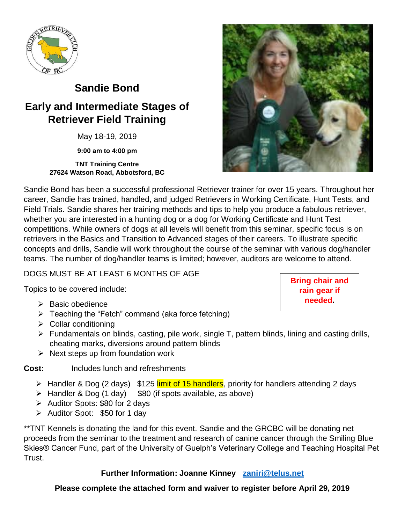

# **Sandie Bond**

## **Early and Intermediate Stages of Retriever Field Training**

May 18-19, 2019

**9:00 am to 4:00 pm**

#### **TNT Training Centre 27624 Watson Road, Abbotsford, BC**



Sandie Bond has been a successful professional Retriever trainer for over 15 years. Throughout her career, Sandie has trained, handled, and judged Retrievers in Working Certificate, Hunt Tests, and Field Trials. Sandie shares her training methods and tips to help you produce a fabulous retriever, whether you are interested in a hunting dog or a dog for Working Certificate and Hunt Test competitions. While owners of dogs at all levels will benefit from this seminar, specific focus is on retrievers in the Basics and Transition to Advanced stages of their careers. To illustrate specific concepts and drills, Sandie will work throughout the course of the seminar with various dog/handler teams. The number of dog/handler teams is limited; however, auditors are welcome to attend.

#### DOGS MUST BE AT LEAST 6 MONTHS OF AGE

Topics to be covered include:

- ➢ Basic obedience
- $\triangleright$  Teaching the "Fetch" command (aka force fetching)
- ➢ Collar conditioning
- $\triangleright$  Fundamentals on blinds, casting, pile work, single T, pattern blinds, lining and casting drills, cheating marks, diversions around pattern blinds
- $\triangleright$  Next steps up from foundation work

**Cost:** Includes lunch and refreshments

- ➢ Handler & Dog (2 days) \$125 limit of 15 handlers, priority for handlers attending 2 days
- ➢ Handler & Dog (1 day) \$80 (if spots available, as above)
- ➢ Auditor Spots: \$80 for 2 days
- ➢ Auditor Spot: \$50 for 1 day

\*\*TNT Kennels is donating the land for this event. Sandie and the GRCBC will be donating net proceeds from the seminar to the treatment and research of canine cancer through the Smiling Blue Skies® Cancer Fund, part of the University of Guelph's Veterinary College and Teaching Hospital Pet Trust.

#### **Further Information: Joanne Kinney [zaniri@telus.net](mailto:zaniri@telus.net)**

#### **Please complete the attached form and waiver to register before April 29, 2019**

**Bring chair and rain gear if needed.**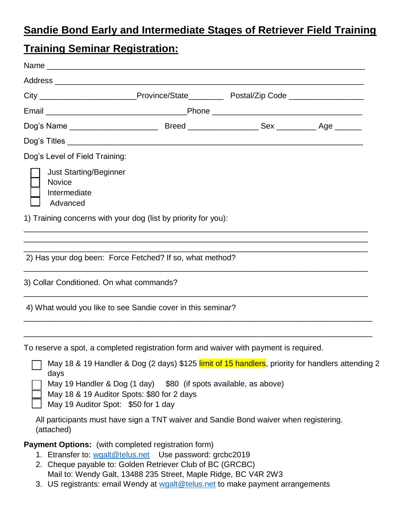### **Sandie Bond Early and Intermediate Stages of Retriever Field Training**

### **Training Seminar Registration:**

|                                                                     | City __________________________Province/State______________Postal/Zip Code ________________________                                                                                                                |  |
|---------------------------------------------------------------------|--------------------------------------------------------------------------------------------------------------------------------------------------------------------------------------------------------------------|--|
|                                                                     |                                                                                                                                                                                                                    |  |
|                                                                     |                                                                                                                                                                                                                    |  |
|                                                                     |                                                                                                                                                                                                                    |  |
| Dog's Level of Field Training:                                      |                                                                                                                                                                                                                    |  |
| <b>Just Starting/Beginner</b><br>Novice<br>Intermediate<br>Advanced |                                                                                                                                                                                                                    |  |
|                                                                     | 1) Training concerns with your dog (list by priority for you):                                                                                                                                                     |  |
|                                                                     |                                                                                                                                                                                                                    |  |
|                                                                     | 2) Has your dog been: Force Fetched? If so, what method?                                                                                                                                                           |  |
| 3) Collar Conditioned. On what commands?                            |                                                                                                                                                                                                                    |  |
|                                                                     | 4) What would you like to see Sandie cover in this seminar?                                                                                                                                                        |  |
|                                                                     | To reserve a spot, a completed registration form and waiver with payment is required.                                                                                                                              |  |
| days<br>May 19 Auditor Spot: \$50 for 1 day                         | May 18 & 19 Handler & Dog (2 days) \$125 limit of 15 handlers, priority for handlers attending 2<br>May 19 Handler & Dog (1 day) \$80 (if spots available, as above)<br>May 18 & 19 Auditor Spots: \$80 for 2 days |  |
| (attached)                                                          | All participants must have sign a TNT waiver and Sandie Bond waiver when registering.                                                                                                                              |  |

**Payment Options:** (with completed registration form)

- 1. Etransfer to: [wgalt@telus.net](mailto:wgalt@telus.net) Use password: grcbc2019
- 2. Cheque payable to: Golden Retriever Club of BC (GRCBC) Mail to: Wendy Galt, 13488 235 Street, Maple Ridge, BC V4R 2W3
- 3. US registrants: email Wendy at [wgalt@telus.net](mailto:wgalt@telus.net) to make payment arrangements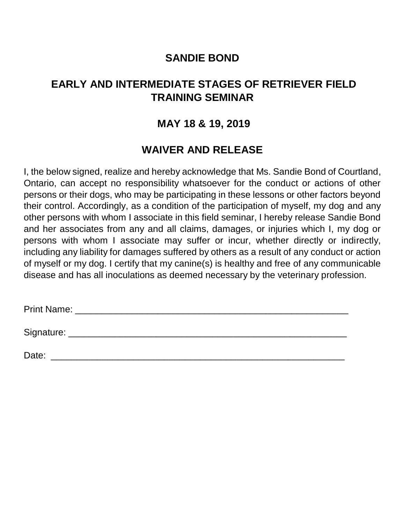### **SANDIE BOND**

### **EARLY AND INTERMEDIATE STAGES OF RETRIEVER FIELD TRAINING SEMINAR**

#### **MAY 18 & 19, 2019**

### **WAIVER AND RELEASE**

I, the below signed, realize and hereby acknowledge that Ms. Sandie Bond of Courtland, Ontario, can accept no responsibility whatsoever for the conduct or actions of other persons or their dogs, who may be participating in these lessons or other factors beyond their control. Accordingly, as a condition of the participation of myself, my dog and any other persons with whom I associate in this field seminar, I hereby release Sandie Bond and her associates from any and all claims, damages, or injuries which I, my dog or persons with whom I associate may suffer or incur, whether directly or indirectly, including any liability for damages suffered by others as a result of any conduct or action of myself or my dog. I certify that my canine(s) is healthy and free of any communicable disease and has all inoculations as deemed necessary by the veterinary profession.

Print Name: **Example 20** and 20 and 20 and 20 and 20 and 20 and 20 and 20 and 20 and 20 and 20 and 20 and 20 and 20 and 20 and 20 and 20 and 20 and 20 and 20 and 20 and 20 and 20 and 20 and 20 and 20 and 20 and 20 and 20 a

Signature: \_\_\_\_\_\_\_\_\_\_\_\_\_\_\_\_\_\_\_\_\_\_\_\_\_\_\_\_\_\_\_\_\_\_\_\_\_\_\_\_\_\_\_\_\_\_\_\_\_\_\_\_\_\_

Date: \_\_\_\_\_\_\_\_\_\_\_\_\_\_\_\_\_\_\_\_\_\_\_\_\_\_\_\_\_\_\_\_\_\_\_\_\_\_\_\_\_\_\_\_\_\_\_\_\_\_\_\_\_\_\_\_\_